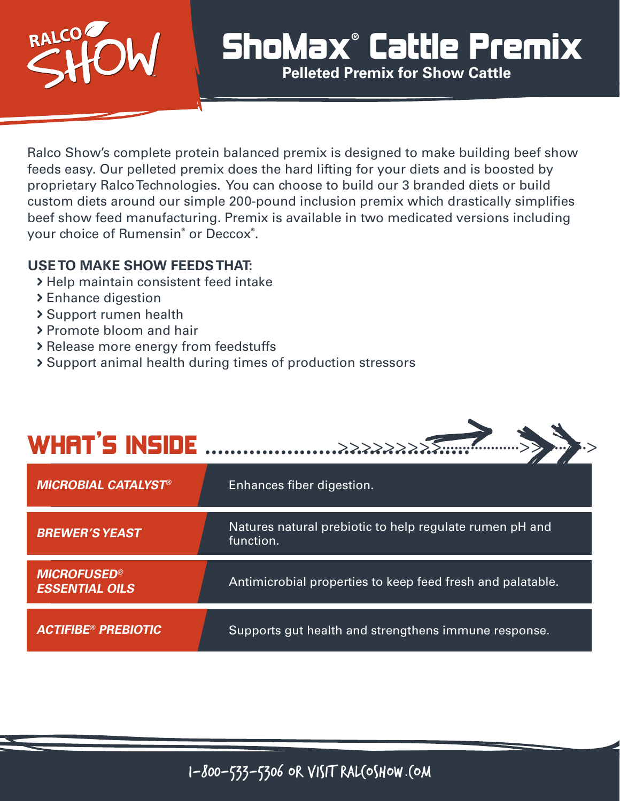

## ShoMax**®** Cattle Premix

**Pelleted Premix for Show Cattle**

Ralco Show's complete protein balanced premix is designed to make building beef show feeds easy. Our pelleted premix does the hard lifting for your diets and is boosted by proprietary Ralco Technologies. You can choose to build our 3 branded diets or build custom diets around our simple 200-pound inclusion premix which drastically simplifies beef show feed manufacturing. Premix is available in two medicated versions including your choice of Rumensin**®** or Deccox**®** .

## **USE TO MAKE SHOW FEEDS THAT:**

- > Help maintain consistent feed intake
- > Enhance digestion
- Support rumen health
- > Promote bloom and hair
- > Release more energy from feedstuffs
- Support animal health during times of production stressors

## WHAT'S INSIDE .......................................... >>>>>>>>>...................>>......>..>

| <b>MICROBIAL CATALYST®</b>                             | Enhances fiber digestion.                                            |
|--------------------------------------------------------|----------------------------------------------------------------------|
| <b>BREWER'S YEAST</b>                                  | Natures natural prebiotic to help regulate rumen pH and<br>function. |
| <b>MICROFUSED<sup>®</sup></b><br><b>ESSENTIAL OILS</b> | Antimicrobial properties to keep feed fresh and palatable.           |
| <b>ACTIFIBE® PREBIOTIC</b>                             | Supports gut health and strengthens immune response.                 |